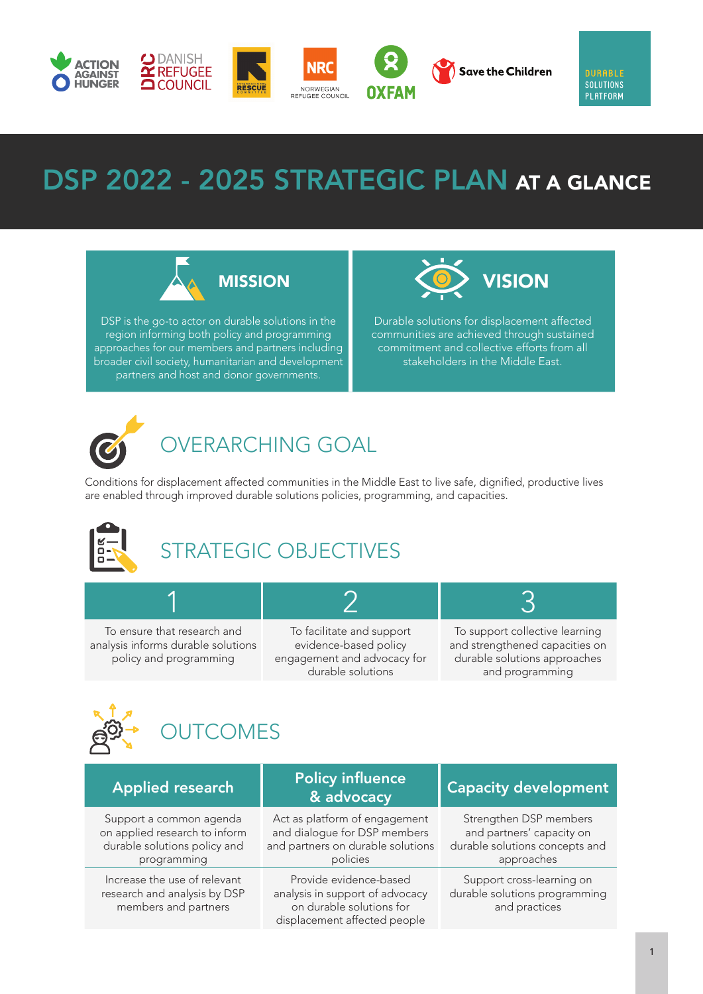

# DSP 2022 - 2025 STRATEGIC PLAN AT A GLANCE



DSP is the go-to actor on durable solutions in the region informing both policy and programming approaches for our members and partners including broader civil society, humanitarian and development partners and host and donor governments.



Durable solutions for displacement affected communities are achieved through sustained commitment and collective efforts from all stakeholders in the Middle East.



# OVERARCHING GOAL

Conditions for displacement affected communities in the Middle East to live safe, dignified, productive lives are enabled through improved durable solutions policies, programming, and capacities.



# STRATEGIC OBJECTIVES

To ensure that research and analysis informs durable solutions policy and programming

To facilitate and support evidence-based policy engagement and advocacy for durable solutions

1 2 3

To support collective learning and strengthened capacities on durable solutions approaches and programming



| <b>Applied research</b>                                                                                 | <b>Policy influence</b><br>& advocacy                                                                                 | <b>Capacity development</b>                                                                         |
|---------------------------------------------------------------------------------------------------------|-----------------------------------------------------------------------------------------------------------------------|-----------------------------------------------------------------------------------------------------|
| Support a common agenda<br>on applied research to inform<br>durable solutions policy and<br>programming | Act as platform of engagement<br>and dialogue for DSP members<br>and partners on durable solutions<br>policies        | Strengthen DSP members<br>and partners' capacity on<br>durable solutions concepts and<br>approaches |
| Increase the use of relevant<br>research and analysis by DSP<br>members and partners                    | Provide evidence-based<br>analysis in support of advocacy<br>on durable solutions for<br>displacement affected people | Support cross-learning on<br>durable solutions programming<br>and practices                         |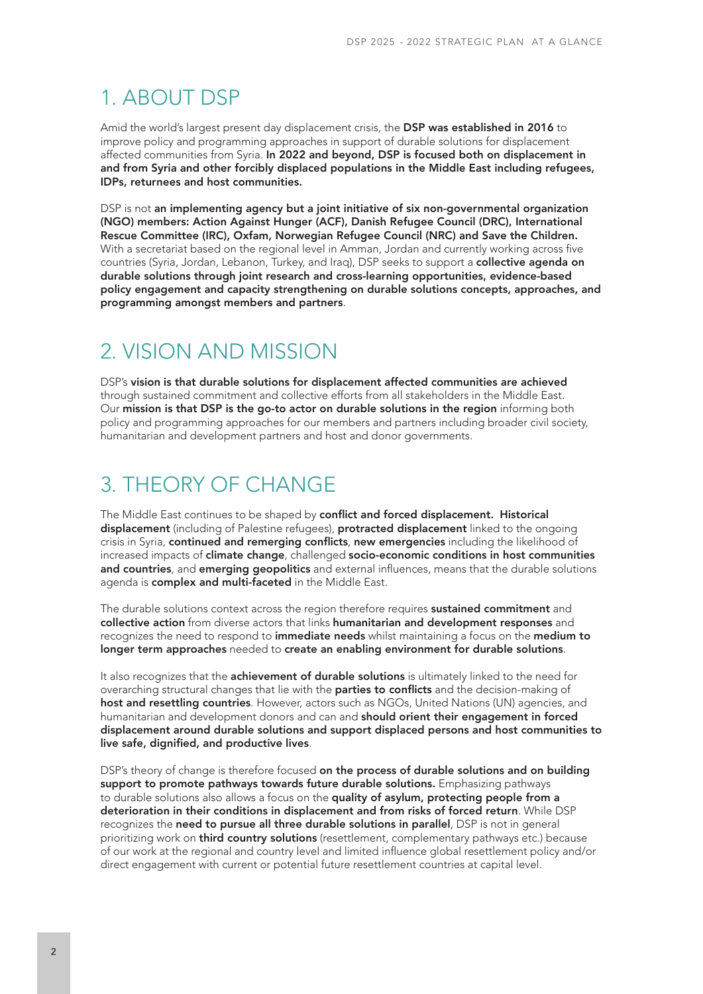## 1. ABOUT DSP

Amid the world's largest present day displacement crisis, the DSP was established in 2016 to improve policy and programming approaches in support of durable solutions for displacement affected communities from Syria. In 2022 and beyond, DSP is focused both on displacement in and from Syria and other forcibly displaced populations in the Middle East including refugees, IDPs, returnees and host communities.

DSP is not an implementing agency but a joint initiative of six non-governmental organization (NGO) members: Action Against Hunger (ACF), Danish Refugee Council (DRC), International Rescue Committee (IRC), Oxfam, Norwegian Refugee Council (NRC) and Save the Children. With a secretariat based on the regional level in Amman, Jordan and currently working across five countries (Syria, Jordan, Lebanon, Turkey, and Iraq), DSP seeks to support a **collective agenda on** durable solutions through joint research and cross-learning opportunities, evidence-based policy engagement and capacity strengthening on durable solutions concepts, approaches, and programming amongst members and partners.

#### 2. VISION AND MISSION

DSP's vision is that durable solutions for displacement affected communities are achieved through sustained commitment and collective efforts from all stakeholders in the Middle East. Our mission is that DSP is the go-to actor on durable solutions in the region informing both policy and programming approaches for our members and partners including broader civil society, humanitarian and development partners and host and donor governments.

#### 3. THEORY OF CHANGE

The Middle East continues to be shaped by conflict and forced displacement. Historical displacement (including of Palestine refugees), protracted displacement linked to the ongoing crisis in Syria, continued and remerging conflicts, new emergencies including the likelihood of increased impacts of climate change, challenged socio-economic conditions in host communities and countries, and emerging geopolitics and external influences, means that the durable solutions agenda is complex and multi-faceted in the Middle East.

The durable solutions context across the region therefore requires **sustained commitment** and collective action from diverse actors that links humanitarian and development responses and recognizes the need to respond to immediate needs whilst maintaining a focus on the medium to longer term approaches needed to create an enabling environment for durable solutions.

It also recognizes that the **achievement of durable solutions** is ultimately linked to the need for overarching structural changes that lie with the **parties to conflicts** and the decision-making of host and resettling countries. However, actors such as NGOs, United Nations (UN) agencies, and humanitarian and development donors and can and should orient their engagement in forced displacement around durable solutions and support displaced persons and host communities to live safe, dignified, and productive lives.

DSP's theory of change is therefore focused on the process of durable solutions and on building support to promote pathways towards future durable solutions. Emphasizing pathways to durable solutions also allows a focus on the quality of asylum, protecting people from a deterioration in their conditions in displacement and from risks of forced return. While DSP recognizes the need to pursue all three durable solutions in parallel, DSP is not in general prioritizing work on **third country solutions** (resettlement, complementary pathways etc.) because of our work at the regional and country level and limited influence global resettlement policy and/or direct engagement with current or potential future resettlement countries at capital level.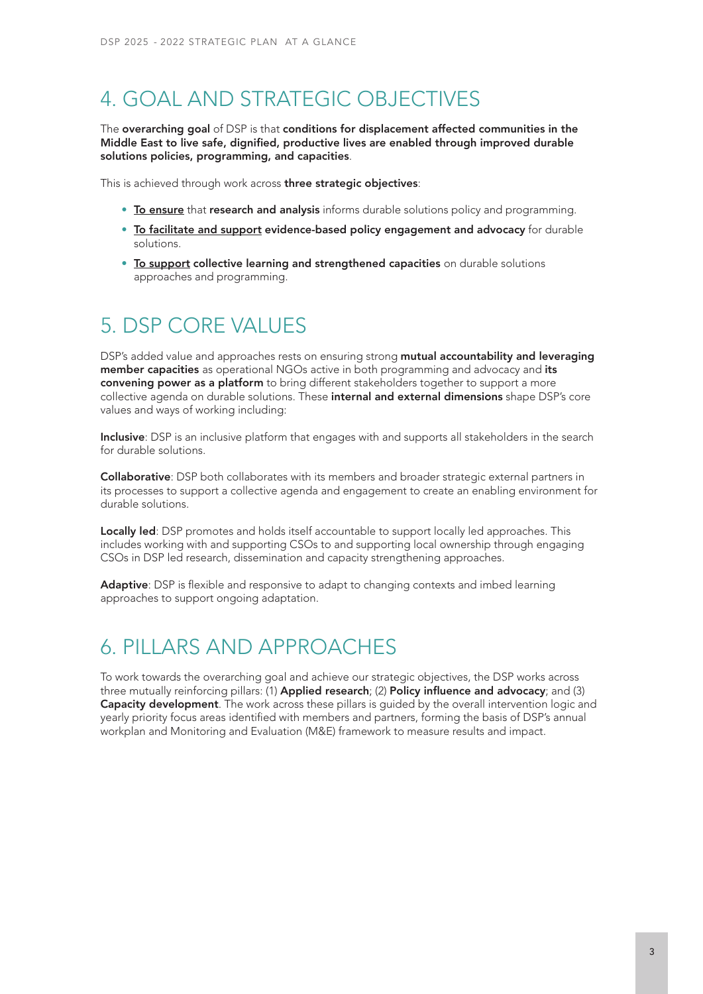### 4. GOAL AND STRATEGIC OBJECTIVES

The overarching goal of DSP is that conditions for displacement affected communities in the Middle East to live safe, dignified, productive lives are enabled through improved durable solutions policies, programming, and capacities.

This is achieved through work across three strategic objectives:

- To ensure that research and analysis informs durable solutions policy and programming.
- To facilitate and support evidence-based policy engagement and advocacy for durable solutions.
- To support collective learning and strengthened capacities on durable solutions approaches and programming.

#### 5. DSP CORE VALUES

DSP's added value and approaches rests on ensuring strong mutual accountability and leveraging member capacities as operational NGOs active in both programming and advocacy and its convening power as a platform to bring different stakeholders together to support a more collective agenda on durable solutions. These internal and external dimensions shape DSP's core values and ways of working including:

Inclusive: DSP is an inclusive platform that engages with and supports all stakeholders in the search for durable solutions.

Collaborative: DSP both collaborates with its members and broader strategic external partners in its processes to support a collective agenda and engagement to create an enabling environment for durable solutions.

Locally led: DSP promotes and holds itself accountable to support locally led approaches. This includes working with and supporting CSOs to and supporting local ownership through engaging CSOs in DSP led research, dissemination and capacity strengthening approaches.

Adaptive: DSP is flexible and responsive to adapt to changing contexts and imbed learning approaches to support ongoing adaptation.

### 6. PILLARS AND APPROACHES

To work towards the overarching goal and achieve our strategic objectives, the DSP works across three mutually reinforcing pillars: (1) Applied research; (2) Policy influence and advocacy; and (3) Capacity development. The work across these pillars is guided by the overall intervention logic and yearly priority focus areas identified with members and partners, forming the basis of DSP's annual workplan and Monitoring and Evaluation (M&E) framework to measure results and impact.